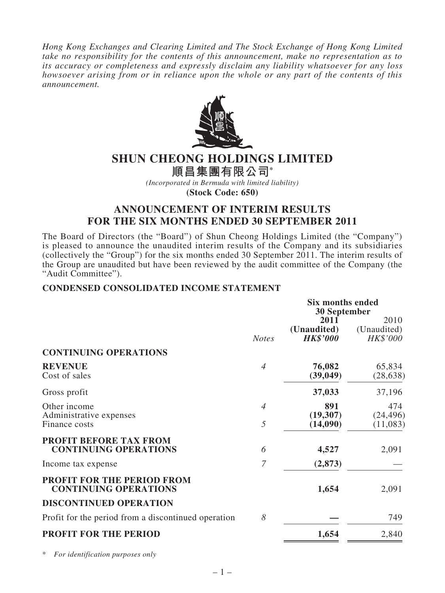*Hong Kong Exchanges and Clearing Limited and The Stock Exchange of Hong Kong Limited take no responsibility for the contents of this announcement, make no representation as to its accuracy or completeness and expressly disclaim any liability whatsoever for any loss howsoever arising from or in reliance upon the whole or any part of the contents of this announcement.*



# **SHUN CHEONG HOLDINGS LIMITED**

**順昌集團有限公司\***

*(Incorporated in Bermuda with limited liability)*

**(Stock Code: 650)**

# **ANNOUNCEMENT OF INTERIM RESULTS FOR THE SIX MONTHS ENDED 30 SEPTEMBER 2011**

The Board of Directors (the "Board") of Shun Cheong Holdings Limited (the "Company") is pleased to announce the unaudited interim results of the Company and its subsidiaries (collectively the "Group") for the six months ended 30 September 2011. The interim results of the Group are unaudited but have been reviewed by the audit committee of the Company (the "Audit Committee").

## **CONDENSED CONSOLIDATED INCOME STATEMENT**

|                                                               | <b>Six months ended</b><br>30 September |                                        |                                 |
|---------------------------------------------------------------|-----------------------------------------|----------------------------------------|---------------------------------|
|                                                               | <b>Notes</b>                            | 2011<br>(Unaudited)<br><b>HK\$'000</b> | 2010<br>(Unaudited)<br>HK\$'000 |
| <b>CONTINUING OPERATIONS</b>                                  |                                         |                                        |                                 |
| <b>REVENUE</b><br>Cost of sales                               | $\overline{4}$                          | 76,082<br>(39, 049)                    | 65,834<br>(28, 638)             |
| Gross profit                                                  |                                         | 37,033                                 | 37,196                          |
| Other income<br>Administrative expenses<br>Finance costs      | $\overline{4}$<br>5                     | 891<br>(19,307)<br>(14,090)            | 474<br>(24, 496)<br>(11,083)    |
| <b>PROFIT BEFORE TAX FROM</b><br><b>CONTINUING OPERATIONS</b> | 6                                       | 4,527                                  | 2,091                           |
| Income tax expense                                            | $\overline{7}$                          | (2,873)                                |                                 |
| PROFIT FOR THE PERIOD FROM<br><b>CONTINUING OPERATIONS</b>    |                                         | 1,654                                  | 2,091                           |
| <b>DISCONTINUED OPERATION</b>                                 |                                         |                                        |                                 |
| Profit for the period from a discontinued operation           | 8                                       |                                        | 749                             |
| <b>PROFIT FOR THE PERIOD</b>                                  |                                         | 1,654                                  | 2,840                           |

\* *For identification purposes only*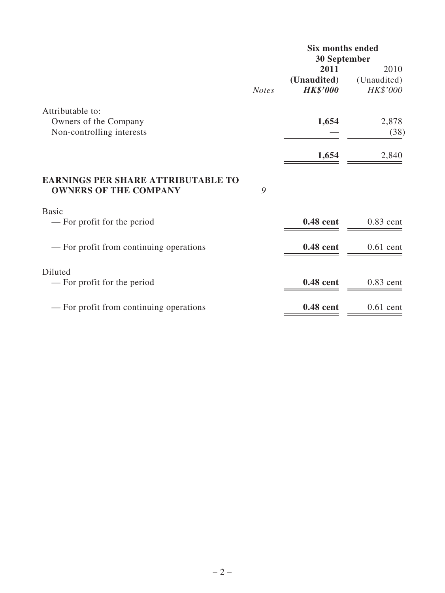|                                                                           |              | <b>Six months ended</b><br><b>30 September</b> |                         |  |
|---------------------------------------------------------------------------|--------------|------------------------------------------------|-------------------------|--|
|                                                                           |              | 2011                                           | 2010                    |  |
|                                                                           | <b>Notes</b> | (Unaudited)<br><b>HK\$'000</b>                 | (Unaudited)<br>HK\$'000 |  |
| Attributable to:                                                          |              |                                                |                         |  |
| Owners of the Company<br>Non-controlling interests                        |              | 1,654                                          | 2,878<br>(38)           |  |
|                                                                           |              | 1,654                                          | 2,840                   |  |
| <b>EARNINGS PER SHARE ATTRIBUTABLE TO</b><br><b>OWNERS OF THE COMPANY</b> | 9            |                                                |                         |  |
| <b>Basic</b>                                                              |              |                                                |                         |  |
| — For profit for the period                                               |              | 0.48 cent                                      | $0.83$ cent             |  |
| — For profit from continuing operations                                   |              | 0.48 cent                                      | $0.61$ cent             |  |
| Diluted<br>— For profit for the period                                    |              | 0.48 cent                                      | $0.83$ cent             |  |
|                                                                           |              |                                                |                         |  |
| — For profit from continuing operations                                   |              | 0.48 cent                                      | $0.61$ cent             |  |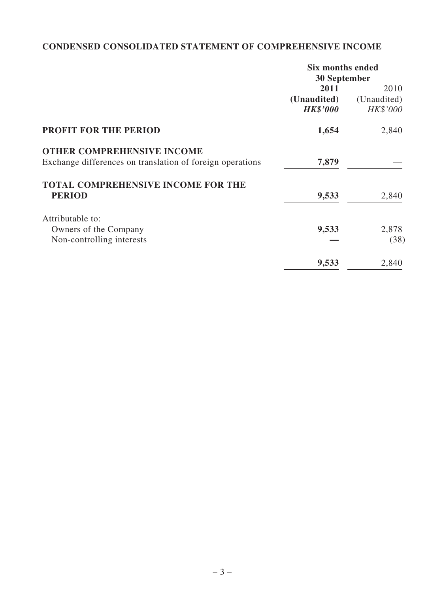# **CONDENSED CONSOLIDATED STATEMENT OF COMPREHENSIVE INCOME**

|                                                           | <b>Six months ended</b> |             |  |
|-----------------------------------------------------------|-------------------------|-------------|--|
|                                                           | <b>30 September</b>     |             |  |
|                                                           | 2011                    | 2010        |  |
|                                                           | (Unaudited)             | (Unaudited) |  |
|                                                           | <b>HK\$'000</b>         | HK\$'000    |  |
| <b>PROFIT FOR THE PERIOD</b>                              | 1,654                   | 2,840       |  |
| <b>OTHER COMPREHENSIVE INCOME</b>                         |                         |             |  |
| Exchange differences on translation of foreign operations | 7,879                   |             |  |
| <b>TOTAL COMPREHENSIVE INCOME FOR THE</b>                 |                         |             |  |
| <b>PERIOD</b>                                             | 9,533                   | 2,840       |  |
| Attributable to:                                          |                         |             |  |
| Owners of the Company                                     | 9,533                   | 2,878       |  |
| Non-controlling interests                                 |                         | (38)        |  |
|                                                           | 9,533                   | 2,840       |  |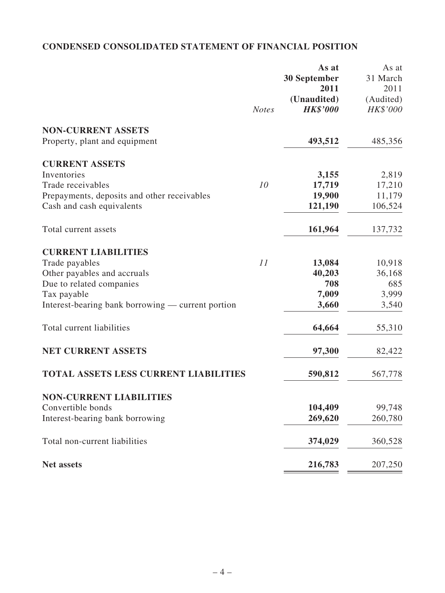# **CONDENSED CONSOLIDATED STATEMENT OF FINANCIAL POSITION**

|                                                   |              | As at<br>30 September | As at<br>31 March |
|---------------------------------------------------|--------------|-----------------------|-------------------|
|                                                   |              | 2011                  | 2011              |
|                                                   |              | (Unaudited)           | (Audited)         |
|                                                   | <b>Notes</b> | <b>HK\$'000</b>       | HK\$'000          |
| <b>NON-CURRENT ASSETS</b>                         |              |                       |                   |
| Property, plant and equipment                     |              | 493,512               | 485,356           |
| <b>CURRENT ASSETS</b>                             |              |                       |                   |
| Inventories                                       |              | 3,155                 | 2,819             |
| Trade receivables                                 | 10           | 17,719                | 17,210            |
| Prepayments, deposits and other receivables       |              | 19,900                | 11,179            |
| Cash and cash equivalents                         |              | 121,190               | 106,524           |
| Total current assets                              |              | 161,964               | 137,732           |
| <b>CURRENT LIABILITIES</b>                        |              |                       |                   |
| Trade payables                                    | 11           | 13,084                | 10,918            |
| Other payables and accruals                       |              | 40,203                | 36,168            |
| Due to related companies                          |              | 708                   | 685               |
| Tax payable                                       |              | 7,009                 | 3,999             |
| Interest-bearing bank borrowing — current portion |              | 3,660                 | 3,540             |
| Total current liabilities                         |              | 64,664                | 55,310            |
| <b>NET CURRENT ASSETS</b>                         |              | 97,300                | 82,422            |
| <b>TOTAL ASSETS LESS CURRENT LIABILITIES</b>      |              | 590,812               | 567,778           |
| <b>NON-CURRENT LIABILITIES</b>                    |              |                       |                   |
| Convertible bonds                                 |              | 104,409               | 99,748            |
| Interest-bearing bank borrowing                   |              | 269,620               | 260,780           |
| Total non-current liabilities                     |              | 374,029               | 360,528           |
| <b>Net assets</b>                                 |              | 216,783               | 207,250           |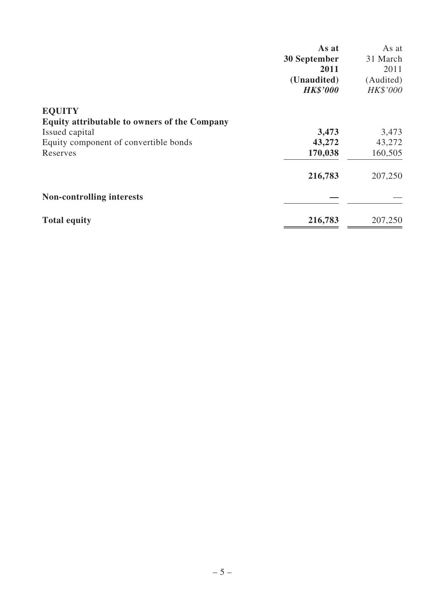|                                                     | As at               | As at     |
|-----------------------------------------------------|---------------------|-----------|
|                                                     | <b>30 September</b> | 31 March  |
|                                                     | 2011                | 2011      |
|                                                     | (Unaudited)         | (Audited) |
|                                                     | <b>HK\$'000</b>     | HK\$'000  |
| <b>EQUITY</b>                                       |                     |           |
| <b>Equity attributable to owners of the Company</b> |                     |           |
| Issued capital                                      | 3,473               | 3,473     |
| Equity component of convertible bonds               | 43,272              | 43,272    |
| Reserves                                            | 170,038             | 160,505   |
|                                                     | 216,783             | 207,250   |
| <b>Non-controlling interests</b>                    |                     |           |
| <b>Total equity</b>                                 | 216,783             | 207,250   |
|                                                     |                     |           |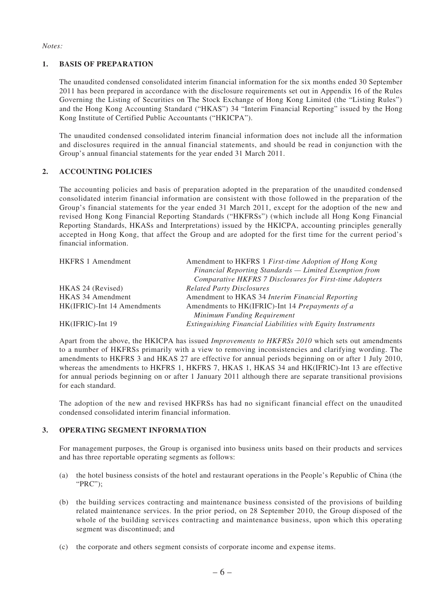#### *Notes:*

### **1. BASIS OF PREPARATION**

The unaudited condensed consolidated interim financial information for the six months ended 30 September 2011 has been prepared in accordance with the disclosure requirements set out in Appendix 16 of the Rules Governing the Listing of Securities on The Stock Exchange of Hong Kong Limited (the "Listing Rules") and the Hong Kong Accounting Standard ("HKAS") 34 "Interim Financial Reporting" issued by the Hong Kong Institute of Certified Public Accountants ("HKICPA").

The unaudited condensed consolidated interim financial information does not include all the information and disclosures required in the annual financial statements, and should be read in conjunction with the Group's annual financial statements for the year ended 31 March 2011.

### **2. ACCOUNTING POLICIES**

The accounting policies and basis of preparation adopted in the preparation of the unaudited condensed consolidated interim financial information are consistent with those followed in the preparation of the Group's financial statements for the year ended 31 March 2011, except for the adoption of the new and revised Hong Kong Financial Reporting Standards ("HKFRSs") (which include all Hong Kong Financial Reporting Standards, HKASs and Interpretations) issued by the HKICPA, accounting principles generally accepted in Hong Kong, that affect the Group and are adopted for the first time for the current period's financial information.

| <b>HKFRS 1 Amendment</b>    | Amendment to HKFRS 1 First-time Adoption of Hong Kong       |
|-----------------------------|-------------------------------------------------------------|
|                             | Financial Reporting Standards — Limited Exemption from      |
|                             | Comparative HKFRS 7 Disclosures for First-time Adopters     |
| HKAS 24 (Revised)           | <b>Related Party Disclosures</b>                            |
| <b>HKAS 34 Amendment</b>    | Amendment to HKAS 34 Interim Financial Reporting            |
| HK(IFRIC)-Int 14 Amendments | Amendments to HK(IFRIC)-Int 14 Prepayments of a             |
|                             | Minimum Funding Requirement                                 |
| HK(IFRIC)-Int 19            | Extinguishing Financial Liabilities with Equity Instruments |

Apart from the above, the HKICPA has issued *Improvements to HKFRSs 2010* which sets out amendments to a number of HKFRSs primarily with a view to removing inconsistencies and clarifying wording. The amendments to HKFRS 3 and HKAS 27 are effective for annual periods beginning on or after 1 July 2010, whereas the amendments to HKFRS 1, HKFRS 7, HKAS 1, HKAS 34 and HK(IFRIC)-Int 13 are effective for annual periods beginning on or after 1 January 2011 although there are separate transitional provisions for each standard.

The adoption of the new and revised HKFRSs has had no significant financial effect on the unaudited condensed consolidated interim financial information.

#### **3. OPERATING SEGMENT INFORMATION**

For management purposes, the Group is organised into business units based on their products and services and has three reportable operating segments as follows:

- (a) the hotel business consists of the hotel and restaurant operations in the People's Republic of China (the "PRC");
- (b) the building services contracting and maintenance business consisted of the provisions of building related maintenance services. In the prior period, on 28 September 2010, the Group disposed of the whole of the building services contracting and maintenance business, upon which this operating segment was discontinued; and
- (c) the corporate and others segment consists of corporate income and expense items.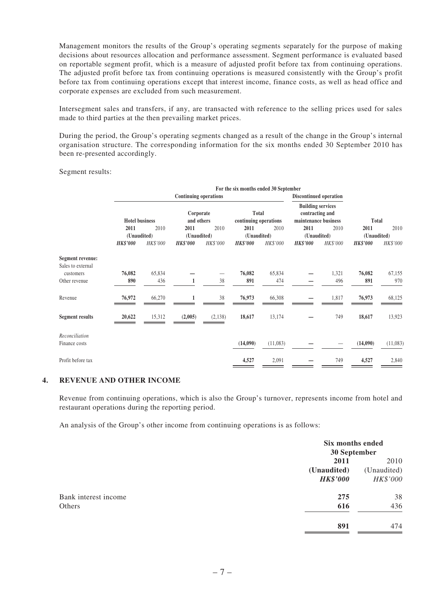Management monitors the results of the Group's operating segments separately for the purpose of making decisions about resources allocation and performance assessment. Segment performance is evaluated based on reportable segment profit, which is a measure of adjusted profit before tax from continuing operations. The adjusted profit before tax from continuing operations is measured consistently with the Group's profit before tax from continuing operations except that interest income, finance costs, as well as head office and corporate expenses are excluded from such measurement.

Intersegment sales and transfers, if any, are transacted with reference to the selling prices used for sales made to third parties at the then prevailing market prices.

During the period, the Group's operating segments changed as a result of the change in the Group's internal organisation structure. The corresponding information for the six months ended 30 September 2010 has been re-presented accordingly.

Segment results:

|                                       |                              |          |                                                           |                               | For the six months ended 30 September                               |                 |                 |          |                 |          |
|---------------------------------------|------------------------------|----------|-----------------------------------------------------------|-------------------------------|---------------------------------------------------------------------|-----------------|-----------------|----------|-----------------|----------|
|                                       | <b>Continuing operations</b> |          |                                                           | <b>Discontinued operation</b> |                                                                     |                 |                 |          |                 |          |
|                                       | <b>Hotel business</b>        |          | Total<br>Corporate<br>and others<br>continuing operations |                               | <b>Building services</b><br>contracting and<br>maintenance business |                 | Total           |          |                 |          |
|                                       | 2011                         | 2010     | 2011                                                      | 2010                          | 2011                                                                | 2010            | 2011            | 2010     | 2011            | 2010     |
|                                       | (Unaudited)                  |          | (Unaudited)                                               |                               | (Unaudited)                                                         |                 | (Unaudited)     |          | (Unaudited)     |          |
|                                       | <b>HK\$'000</b>              | HK\$'000 | <b>HK\$'000</b>                                           | HK\$'000                      | <b>HK\$'000</b>                                                     | <b>HK\$'000</b> | <b>HK\$'000</b> | HK\$'000 | <b>HK\$'000</b> | HK\$'000 |
| Segment revenue:<br>Sales to external |                              |          |                                                           |                               |                                                                     |                 |                 |          |                 |          |
| customers                             | 76,082                       | 65,834   |                                                           |                               | 76,082                                                              | 65,834          |                 | 1,321    | 76,082          | 67,155   |
| Other revenue                         | 890                          | 436      |                                                           | 38                            | 891                                                                 | 474             |                 | 496      | 891             | 970      |
| Revenue                               | 76,972                       | 66,270   |                                                           | 38                            | 76,973                                                              | 66,308          |                 | 1,817    | 76,973          | 68,125   |
| <b>Segment results</b>                | 20,622                       | 15,312   | (2,005)                                                   | (2, 138)                      | 18,617                                                              | 13,174          |                 | 749      | 18,617          | 13,923   |
| Reconciliation<br>Finance costs       |                              |          |                                                           |                               | (14,090)                                                            | (11,083)        |                 |          | (14,090)        | (11,083) |
| Profit before tax                     |                              |          |                                                           |                               | 4,527                                                               | 2,091           |                 | 749      | 4,527           | 2,840    |

#### **4. REVENUE AND OTHER INCOME**

Revenue from continuing operations, which is also the Group's turnover, represents income from hotel and restaurant operations during the reporting period.

An analysis of the Group's other income from continuing operations is as follows:

|                      | Six months ended<br>30 September |             |
|----------------------|----------------------------------|-------------|
|                      | 2011                             | 2010        |
|                      | (Unaudited)                      | (Unaudited) |
|                      | <b>HK\$'000</b>                  | HK\$'000    |
| Bank interest income | 275                              | 38          |
| Others               | 616                              | 436         |
|                      | 891                              | 474         |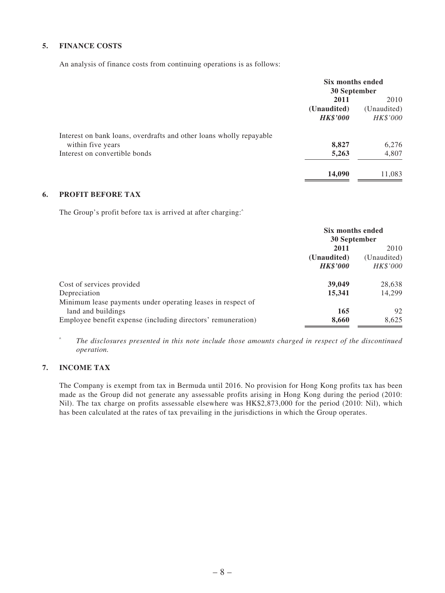### **5. FINANCE COSTS**

An analysis of finance costs from continuing operations is as follows:

|                                                                     | Six months ended<br>30 September |             |
|---------------------------------------------------------------------|----------------------------------|-------------|
|                                                                     | 2011<br>2010                     |             |
|                                                                     | (Unaudited)                      | (Unaudited) |
|                                                                     | <b>HK\$'000</b>                  | HK\$'000    |
| Interest on bank loans, overdrafts and other loans wholly repayable |                                  |             |
| within five years                                                   | 8,827                            | 6,276       |
| Interest on convertible bonds                                       | 5,263                            | 4,807       |
|                                                                     | 14,090                           | 11,083      |

### **6. PROFIT BEFORE TAX**

The Group's profit before tax is arrived at after charging:*^*

|                                                              | Six months ended<br>30 September |             |  |
|--------------------------------------------------------------|----------------------------------|-------------|--|
|                                                              | 2011<br>2010                     |             |  |
|                                                              | (Unaudited)                      | (Unaudited) |  |
|                                                              | <b>HK\$'000</b>                  | HK\$'000    |  |
| Cost of services provided                                    | 39,049                           | 28,638      |  |
| Depreciation                                                 | 15,341                           | 14,299      |  |
| Minimum lease payments under operating leases in respect of  |                                  |             |  |
| land and buildings                                           | 165                              | 92          |  |
| Employee benefit expense (including directors' remuneration) | 8,660                            | 8,625       |  |

*^ The disclosures presented in this note include those amounts charged in respect of the discontinued operation.*

### **7. INCOME TAX**

The Company is exempt from tax in Bermuda until 2016. No provision for Hong Kong profits tax has been made as the Group did not generate any assessable profits arising in Hong Kong during the period (2010: Nil). The tax charge on profits assessable elsewhere was HK\$2,873,000 for the period (2010: Nil), which has been calculated at the rates of tax prevailing in the jurisdictions in which the Group operates.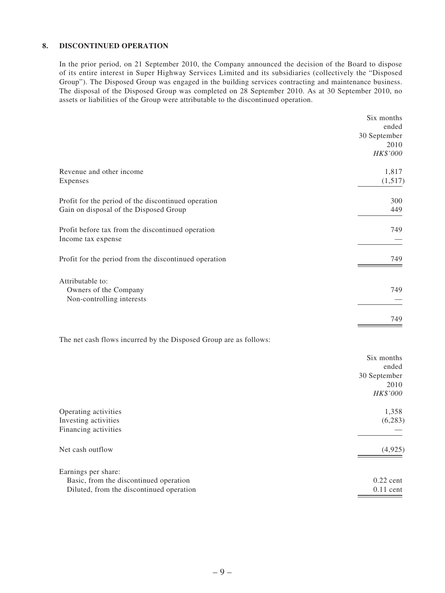#### **8. DISCONTINUED OPERATION**

In the prior period, on 21 September 2010, the Company announced the decision of the Board to dispose of its entire interest in Super Highway Services Limited and its subsidiaries (collectively the "Disposed Group"). The Disposed Group was engaged in the building services contracting and maintenance business. The disposal of the Disposed Group was completed on 28 September 2010. As at 30 September 2010, no assets or liabilities of the Group were attributable to the discontinued operation.

| Six months   |
|--------------|
| ended        |
| 30 September |
| 2010         |
| HK\$'000     |
| 1,817        |
| (1,517)      |
| 300          |
| 449          |
| 749          |
| 749          |
|              |
| 749          |
|              |
| 749          |
|              |

The net cash flows incurred by the Disposed Group are as follows:

|                                          | Six months   |
|------------------------------------------|--------------|
|                                          | ended        |
|                                          | 30 September |
|                                          | 2010         |
|                                          | HK\$'000     |
| Operating activities                     | 1,358        |
| Investing activities                     | (6,283)      |
| Financing activities                     |              |
| Net cash outflow                         | (4,925)      |
| Earnings per share:                      |              |
| Basic, from the discontinued operation   | $0.22$ cent  |
| Diluted, from the discontinued operation | $0.11$ cent  |
|                                          |              |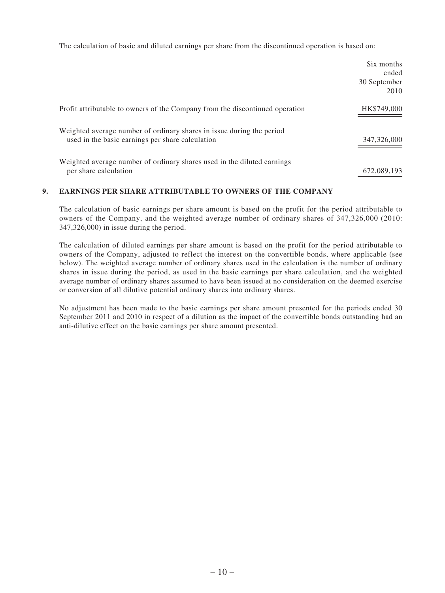The calculation of basic and diluted earnings per share from the discontinued operation is based on:

|                                                                                                                           | Six months<br>ended  |
|---------------------------------------------------------------------------------------------------------------------------|----------------------|
|                                                                                                                           | 30 September<br>2010 |
| Profit attributable to owners of the Company from the discontinued operation                                              | HK\$749,000          |
| Weighted average number of ordinary shares in issue during the period<br>used in the basic earnings per share calculation | 347,326,000          |
| Weighted average number of ordinary shares used in the diluted earnings<br>per share calculation                          | 672,089,193          |

#### **9. EARNINGS PER SHARE ATTRIBUTABLE TO OWNERS OF THE COMPANY**

The calculation of basic earnings per share amount is based on the profit for the period attributable to owners of the Company, and the weighted average number of ordinary shares of 347,326,000 (2010: 347,326,000) in issue during the period.

The calculation of diluted earnings per share amount is based on the profit for the period attributable to owners of the Company, adjusted to reflect the interest on the convertible bonds, where applicable (see below). The weighted average number of ordinary shares used in the calculation is the number of ordinary shares in issue during the period, as used in the basic earnings per share calculation, and the weighted average number of ordinary shares assumed to have been issued at no consideration on the deemed exercise or conversion of all dilutive potential ordinary shares into ordinary shares.

No adjustment has been made to the basic earnings per share amount presented for the periods ended 30 September 2011 and 2010 in respect of a dilution as the impact of the convertible bonds outstanding had an anti-dilutive effect on the basic earnings per share amount presented.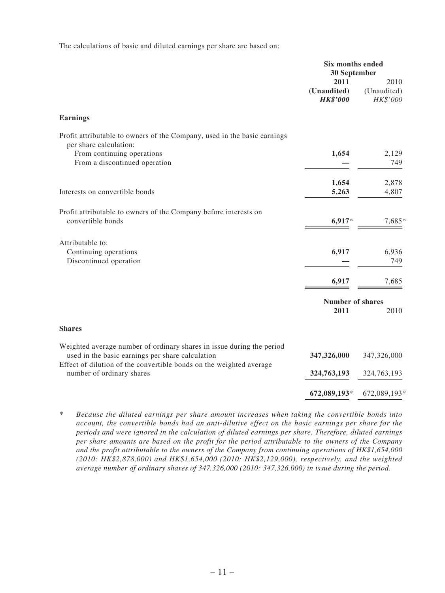The calculations of basic and diluted earnings per share are based on:

|                                                                                                                                                                                                  | Six months ended<br>30 September       |                                 |
|--------------------------------------------------------------------------------------------------------------------------------------------------------------------------------------------------|----------------------------------------|---------------------------------|
|                                                                                                                                                                                                  | 2011<br>(Unaudited)<br><b>HK\$'000</b> | 2010<br>(Unaudited)<br>HK\$'000 |
| <b>Earnings</b>                                                                                                                                                                                  |                                        |                                 |
| Profit attributable to owners of the Company, used in the basic earnings<br>per share calculation:                                                                                               |                                        |                                 |
| From continuing operations<br>From a discontinued operation                                                                                                                                      | 1,654                                  | 2,129<br>749                    |
| Interests on convertible bonds                                                                                                                                                                   | 1,654<br>5,263                         | 2,878<br>4,807                  |
| Profit attributable to owners of the Company before interests on<br>convertible bonds                                                                                                            | 6,917*                                 | 7,685*                          |
| Attributable to:<br>Continuing operations<br>Discontinued operation                                                                                                                              | 6,917                                  | 6,936<br>749                    |
|                                                                                                                                                                                                  | 6,917                                  | 7,685                           |
|                                                                                                                                                                                                  | <b>Number of shares</b><br>2011        | 2010                            |
| <b>Shares</b>                                                                                                                                                                                    |                                        |                                 |
| Weighted average number of ordinary shares in issue during the period<br>used in the basic earnings per share calculation<br>Effect of dilution of the convertible bonds on the weighted average | 347,326,000                            | 347,326,000                     |
| number of ordinary shares                                                                                                                                                                        | 324,763,193                            | 324,763,193                     |
|                                                                                                                                                                                                  | 672,089,193*                           | 672,089,193*                    |

*\* Because the diluted earnings per share amount increases when taking the convertible bonds into account, the convertible bonds had an anti-dilutive effect on the basic earnings per share for the periods and were ignored in the calculation of diluted earnings per share. Therefore, diluted earnings per share amounts are based on the profit for the period attributable to the owners of the Company and the profit attributable to the owners of the Company from continuing operations of HK\$1,654,000 (2010: HK\$2,878,000) and HK\$1,654,000 (2010: HK\$2,129,000), respectively, and the weighted average number of ordinary shares of 347,326,000 (2010: 347,326,000) in issue during the period.*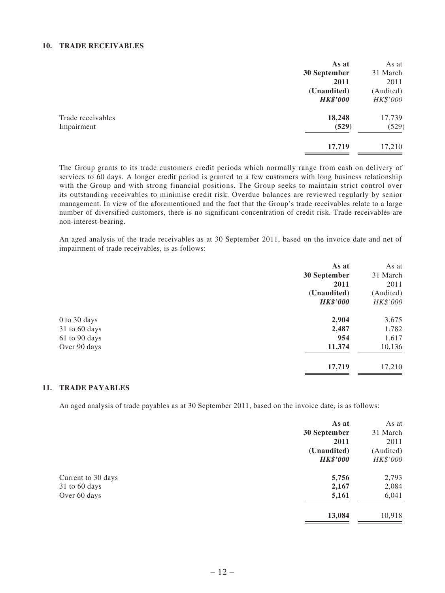#### **10. TRADE RECEIVABLES**

|                   | As at           | As at     |
|-------------------|-----------------|-----------|
|                   | 30 September    | 31 March  |
|                   | 2011            | 2011      |
|                   | (Unaudited)     | (Audited) |
|                   | <b>HK\$'000</b> | HK\$'000  |
| Trade receivables | 18,248          | 17,739    |
| Impairment        | (529)           | (529)     |
|                   | 17,719          | 17,210    |
|                   |                 |           |

The Group grants to its trade customers credit periods which normally range from cash on delivery of services to 60 days. A longer credit period is granted to a few customers with long business relationship with the Group and with strong financial positions. The Group seeks to maintain strict control over its outstanding receivables to minimise credit risk. Overdue balances are reviewed regularly by senior management. In view of the aforementioned and the fact that the Group's trade receivables relate to a large number of diversified customers, there is no significant concentration of credit risk. Trade receivables are non-interest-bearing.

An aged analysis of the trade receivables as at 30 September 2011, based on the invoice date and net of impairment of trade receivables, is as follows:

| As at           | As at     |
|-----------------|-----------|
| 30 September    | 31 March  |
| 2011            | 2011      |
| (Unaudited)     | (Audited) |
| <b>HK\$'000</b> | HK\$'000  |
|                 | 3,675     |
| 2,487           | 1,782     |
| 954             | 1,617     |
| 11,374          | 10,136    |
| 17,719          | 17,210    |
|                 | 2,904     |

#### **11. TRADE PAYABLES**

An aged analysis of trade payables as at 30 September 2011, based on the invoice date, is as follows:

|                    | As at           | As at     |
|--------------------|-----------------|-----------|
|                    | 30 September    | 31 March  |
|                    | 2011            | 2011      |
|                    | (Unaudited)     | (Audited) |
|                    | <b>HK\$'000</b> | HK\$'000  |
| Current to 30 days | 5,756           | 2,793     |
| 31 to 60 days      | 2,167           | 2,084     |
| Over 60 days       | 5,161           | 6,041     |
|                    | 13,084          | 10,918    |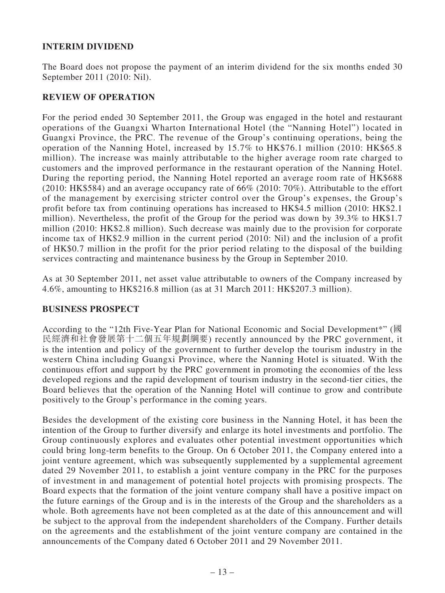# **INTERIM DIVIDEND**

The Board does not propose the payment of an interim dividend for the six months ended 30 September 2011 (2010: Nil).

# **REVIEW OF OPERATION**

For the period ended 30 September 2011, the Group was engaged in the hotel and restaurant operations of the Guangxi Wharton International Hotel (the "Nanning Hotel") located in Guangxi Province, the PRC. The revenue of the Group's continuing operations, being the operation of the Nanning Hotel, increased by 15.7% to HK\$76.1 million (2010: HK\$65.8 million). The increase was mainly attributable to the higher average room rate charged to customers and the improved performance in the restaurant operation of the Nanning Hotel. During the reporting period, the Nanning Hotel reported an average room rate of HK\$688 (2010: HK\$584) and an average occupancy rate of 66% (2010: 70%). Attributable to the effort of the management by exercising stricter control over the Group's expenses, the Group's profit before tax from continuing operations has increased to HK\$4.5 million (2010: HK\$2.1 million). Nevertheless, the profit of the Group for the period was down by 39.3% to HK\$1.7 million (2010: HK\$2.8 million). Such decrease was mainly due to the provision for corporate income tax of HK\$2.9 million in the current period (2010: Nil) and the inclusion of a profit of HK\$0.7 million in the profit for the prior period relating to the disposal of the building services contracting and maintenance business by the Group in September 2010.

As at 30 September 2011, net asset value attributable to owners of the Company increased by 4.6%, amounting to HK\$216.8 million (as at 31 March 2011: HK\$207.3 million).

### **BUSINESS PROSPECT**

According to the "12th Five-Year Plan for National Economic and Social Development\*" (國 民經濟和社會發展第十二個五年規劃綱要) recently announced by the PRC government, it is the intention and policy of the government to further develop the tourism industry in the western China including Guangxi Province, where the Nanning Hotel is situated. With the continuous effort and support by the PRC government in promoting the economies of the less developed regions and the rapid development of tourism industry in the second-tier cities, the Board believes that the operation of the Nanning Hotel will continue to grow and contribute positively to the Group's performance in the coming years.

Besides the development of the existing core business in the Nanning Hotel, it has been the intention of the Group to further diversify and enlarge its hotel investments and portfolio. The Group continuously explores and evaluates other potential investment opportunities which could bring long-term benefits to the Group. On 6 October 2011, the Company entered into a joint venture agreement, which was subsequently supplemented by a supplemental agreement dated 29 November 2011, to establish a joint venture company in the PRC for the purposes of investment in and management of potential hotel projects with promising prospects. The Board expects that the formation of the joint venture company shall have a positive impact on the future earnings of the Group and is in the interests of the Group and the shareholders as a whole. Both agreements have not been completed as at the date of this announcement and will be subject to the approval from the independent shareholders of the Company. Further details on the agreements and the establishment of the joint venture company are contained in the announcements of the Company dated 6 October 2011 and 29 November 2011.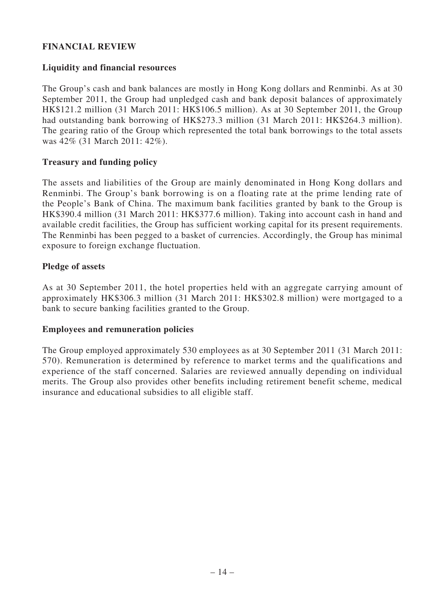# **FINANCIAL REVIEW**

## **Liquidity and financial resources**

The Group's cash and bank balances are mostly in Hong Kong dollars and Renminbi. As at 30 September 2011, the Group had unpledged cash and bank deposit balances of approximately HK\$121.2 million (31 March 2011: HK\$106.5 million). As at 30 September 2011, the Group had outstanding bank borrowing of HK\$273.3 million (31 March 2011: HK\$264.3 million). The gearing ratio of the Group which represented the total bank borrowings to the total assets was 42% (31 March 2011: 42%).

## **Treasury and funding policy**

The assets and liabilities of the Group are mainly denominated in Hong Kong dollars and Renminbi. The Group's bank borrowing is on a floating rate at the prime lending rate of the People's Bank of China. The maximum bank facilities granted by bank to the Group is HK\$390.4 million (31 March 2011: HK\$377.6 million). Taking into account cash in hand and available credit facilities, the Group has sufficient working capital for its present requirements. The Renminbi has been pegged to a basket of currencies. Accordingly, the Group has minimal exposure to foreign exchange fluctuation.

## **Pledge of assets**

As at 30 September 2011, the hotel properties held with an aggregate carrying amount of approximately HK\$306.3 million (31 March 2011: HK\$302.8 million) were mortgaged to a bank to secure banking facilities granted to the Group.

### **Employees and remuneration policies**

The Group employed approximately 530 employees as at 30 September 2011 (31 March 2011: 570). Remuneration is determined by reference to market terms and the qualifications and experience of the staff concerned. Salaries are reviewed annually depending on individual merits. The Group also provides other benefits including retirement benefit scheme, medical insurance and educational subsidies to all eligible staff.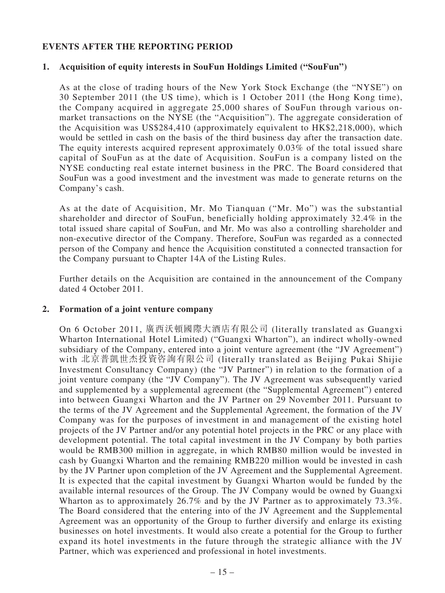# **EVENTS AFTER THE REPORTING PERIOD**

### **1. Acquisition of equity interests in SouFun Holdings Limited ("SouFun")**

As at the close of trading hours of the New York Stock Exchange (the "NYSE") on 30 September 2011 (the US time), which is 1 October 2011 (the Hong Kong time), the Company acquired in aggregate 25,000 shares of SouFun through various onmarket transactions on the NYSE (the "Acquisition"). The aggregate consideration of the Acquisition was US\$284,410 (approximately equivalent to HK\$2,218,000), which would be settled in cash on the basis of the third business day after the transaction date. The equity interests acquired represent approximately 0.03% of the total issued share capital of SouFun as at the date of Acquisition. SouFun is a company listed on the NYSE conducting real estate internet business in the PRC. The Board considered that SouFun was a good investment and the investment was made to generate returns on the Company's cash.

As at the date of Acquisition, Mr. Mo Tianquan ("Mr. Mo") was the substantial shareholder and director of SouFun, beneficially holding approximately 32.4% in the total issued share capital of SouFun, and Mr. Mo was also a controlling shareholder and non-executive director of the Company. Therefore, SouFun was regarded as a connected person of the Company and hence the Acquisition constituted a connected transaction for the Company pursuant to Chapter 14A of the Listing Rules.

Further details on the Acquisition are contained in the announcement of the Company dated 4 October 2011.

### **2. Formation of a joint venture company**

On 6 October 2011, 廣西沃頓國際大酒店有限公司 (literally translated as Guangxi Wharton International Hotel Limited) ("Guangxi Wharton"), an indirect wholly-owned subsidiary of the Company, entered into a joint venture agreement (the "JV Agreement") with 北京普凱世杰投資咨詢有限公司 (literally translated as Beijing Pukai Shijie Investment Consultancy Company) (the "JV Partner") in relation to the formation of a joint venture company (the "JV Company"). The JV Agreement was subsequently varied and supplemented by a supplemental agreement (the "Supplemental Agreement") entered into between Guangxi Wharton and the JV Partner on 29 November 2011. Pursuant to the terms of the JV Agreement and the Supplemental Agreement, the formation of the JV Company was for the purposes of investment in and management of the existing hotel projects of the JV Partner and/or any potential hotel projects in the PRC or any place with development potential. The total capital investment in the JV Company by both parties would be RMB300 million in aggregate, in which RMB80 million would be invested in cash by Guangxi Wharton and the remaining RMB220 million would be invested in cash by the JV Partner upon completion of the JV Agreement and the Supplemental Agreement. It is expected that the capital investment by Guangxi Wharton would be funded by the available internal resources of the Group. The JV Company would be owned by Guangxi Wharton as to approximately 26.7% and by the JV Partner as to approximately 73.3%. The Board considered that the entering into of the JV Agreement and the Supplemental Agreement was an opportunity of the Group to further diversify and enlarge its existing businesses on hotel investments. It would also create a potential for the Group to further expand its hotel investments in the future through the strategic alliance with the JV Partner, which was experienced and professional in hotel investments.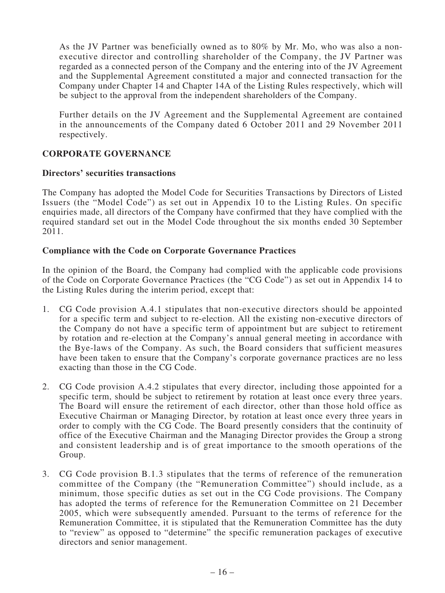As the JV Partner was beneficially owned as to 80% by Mr. Mo, who was also a nonexecutive director and controlling shareholder of the Company, the JV Partner was regarded as a connected person of the Company and the entering into of the JV Agreement and the Supplemental Agreement constituted a major and connected transaction for the Company under Chapter 14 and Chapter 14A of the Listing Rules respectively, which will be subject to the approval from the independent shareholders of the Company.

Further details on the JV Agreement and the Supplemental Agreement are contained in the announcements of the Company dated 6 October 2011 and 29 November 2011 respectively.

# **CORPORATE GOVERNANCE**

### **Directors' securities transactions**

The Company has adopted the Model Code for Securities Transactions by Directors of Listed Issuers (the "Model Code") as set out in Appendix 10 to the Listing Rules. On specific enquiries made, all directors of the Company have confirmed that they have complied with the required standard set out in the Model Code throughout the six months ended 30 September 2011.

### **Compliance with the Code on Corporate Governance Practices**

In the opinion of the Board, the Company had complied with the applicable code provisions of the Code on Corporate Governance Practices (the "CG Code") as set out in Appendix 14 to the Listing Rules during the interim period, except that:

- 1. CG Code provision A.4.1 stipulates that non-executive directors should be appointed for a specific term and subject to re-election. All the existing non-executive directors of the Company do not have a specific term of appointment but are subject to retirement by rotation and re-election at the Company's annual general meeting in accordance with the Bye-laws of the Company. As such, the Board considers that sufficient measures have been taken to ensure that the Company's corporate governance practices are no less exacting than those in the CG Code.
- 2. CG Code provision A.4.2 stipulates that every director, including those appointed for a specific term, should be subject to retirement by rotation at least once every three years. The Board will ensure the retirement of each director, other than those hold office as Executive Chairman or Managing Director, by rotation at least once every three years in order to comply with the CG Code. The Board presently considers that the continuity of office of the Executive Chairman and the Managing Director provides the Group a strong and consistent leadership and is of great importance to the smooth operations of the Group.
- 3. CG Code provision B.1.3 stipulates that the terms of reference of the remuneration committee of the Company (the "Remuneration Committee") should include, as a minimum, those specific duties as set out in the CG Code provisions. The Company has adopted the terms of reference for the Remuneration Committee on 21 December 2005, which were subsequently amended. Pursuant to the terms of reference for the Remuneration Committee, it is stipulated that the Remuneration Committee has the duty to "review" as opposed to "determine" the specific remuneration packages of executive directors and senior management.